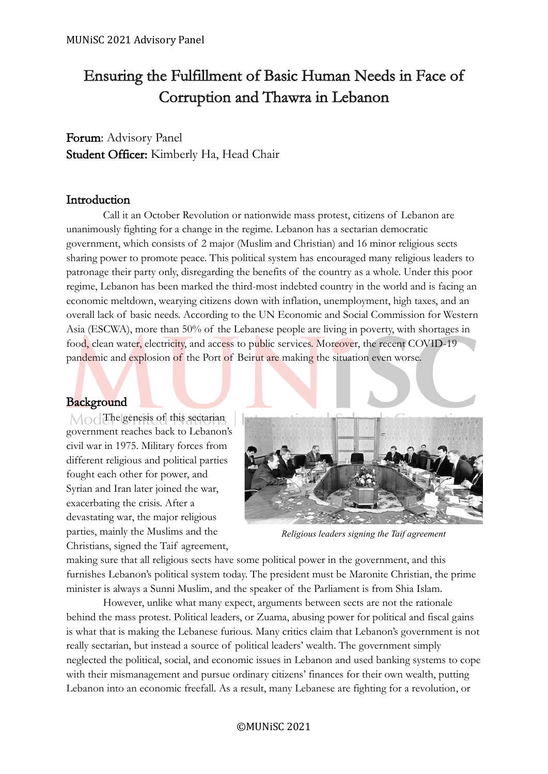## Ensuring the Fulfillment of Basic Human Needs in Face of Corruption and Thawra in Lebanon

Forum: Advisory Panel Student Officer: Kimberly Ha, Head Chair

## Introduction

Call it an October Revolution or nationwide mass protest, citizens of Lebanon are unanimously fighting for a change in the regime. Lebanon has a sectarian democratic government, which consists of 2 major (Muslim and Christian) and 16 minor religious sects sharing power to promote peace. This political system has encouraged many religious leaders to patronage their party only, disregarding the benefits of the country as a whole. Under this poor regime, Lebanon has been marked the third-most indebted country in the world and is facing an economic meltdown, wearying citizens down with inflation, unemployment, high taxes, and an overall lack of basic needs. According to the UN Economic and Social Commission for Western Asia (ESCWA), more than 50% of the Lebanese people are living in poverty, with shortages in food, clean water, electricity, and access to public services. Moreover, the recent COVID-19 pandemic and explosion of the Port of Beirut are making the situation even worse.

## Background

 $M_{\odot}$  The genesis of this sectarian government reaches back to Lebanon's civil war in 1975. Military forces from different religious and political parties fought each other for power, and Syrian and Iran later joined the war, exacerbating the crisis. After a devastating war, the major religious parties, mainly the Muslims and the Christians, signed the Taif agreement,



*Religious leaders signing the Taif agreement*

making sure that all religious sects have some political power in the government, and this furnishes Lebanon's political system today. The president must be Maronite Christian, the prime minister is always a Sunni Muslim, and the speaker of the Parliament is from Shia Islam.

However, unlike what many expect, arguments between sects are not the rationale behind the mass protest. Political leaders, or Zuama, abusing power for political and fiscal gains is what that is making the Lebanese furious. Many critics claim that Lebanon's government is not really sectarian, but instead a source of political leaders' wealth. The government simply neglected the political, social, and economic issues in Lebanon and used banking systems to cope with their mismanagement and pursue ordinary citizens' finances for their own wealth, putting Lebanon into an economic freefall. As a result, many Lebanese are fighting for a revolution, or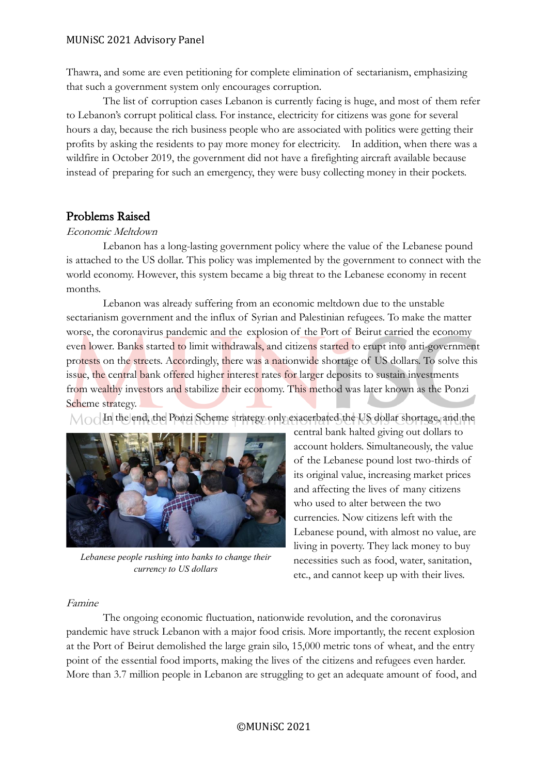Thawra, and some are even petitioning for complete elimination of sectarianism, emphasizing that such a government system only encourages corruption.

The list of corruption cases Lebanon is currently facing is huge, and most of them refer to Lebanon's corrupt political class. For instance, electricity for citizens was gone for several hours a day, because the rich business people who are associated with politics were getting their profits by asking the residents to pay more money for electricity. In addition, when there was a wildfire in October 2019, the government did not have a firefighting aircraft available because instead of preparing for such an emergency, they were busy collecting money in their pockets.

## Problems Raised

#### Economic Meltdown

Lebanon has a long-lasting government policy where the value of the Lebanese pound is attached to the US dollar. This policy was implemented by the government to connect with the world economy. However, this system became a big threat to the Lebanese economy in recent months.

Lebanon was already suffering from an economic meltdown due to the unstable sectarianism government and the influx of Syrian and Palestinian refugees. To make the matter worse, the coronavirus pandemic and the explosion of the Port of Beirut carried the economy even lower. Banks started to limit withdrawals, and citizens started to erupt into anti-government protests on the streets. Accordingly, there was a nationwide shortage of US dollars. To solve this issue, the central bank offered higher interest rates for larger deposits to sustain investments from wealthy investors and stabilize their economy. This method was later known as the Ponzi Scheme strategy.

 $\bigwedge_{\Omega}$  In the end, the Ponzi Scheme strategy only exacerbated the US dollar shortage, and the



*Lebanese people rushing into banks to change their currency to US dollars*

central bank halted giving out dollars to account holders. Simultaneously, the value of the Lebanese pound lost two-thirds of its original value, increasing market prices and affecting the lives of many citizens who used to alter between the two currencies. Now citizens left with the Lebanese pound, with almost no value, are living in poverty. They lack money to buy necessities such as food, water, sanitation, etc., and cannot keep up with their lives.

#### Famine

The ongoing economic fluctuation, nationwide revolution, and the coronavirus pandemic have struck Lebanon with a major food crisis. More importantly, the recent explosion at the Port of Beirut demolished the large grain silo, 15,000 metric tons of wheat, and the entry point of the essential food imports, making the lives of the citizens and refugees even harder. More than 3.7 million people in Lebanon are struggling to get an adequate amount of food, and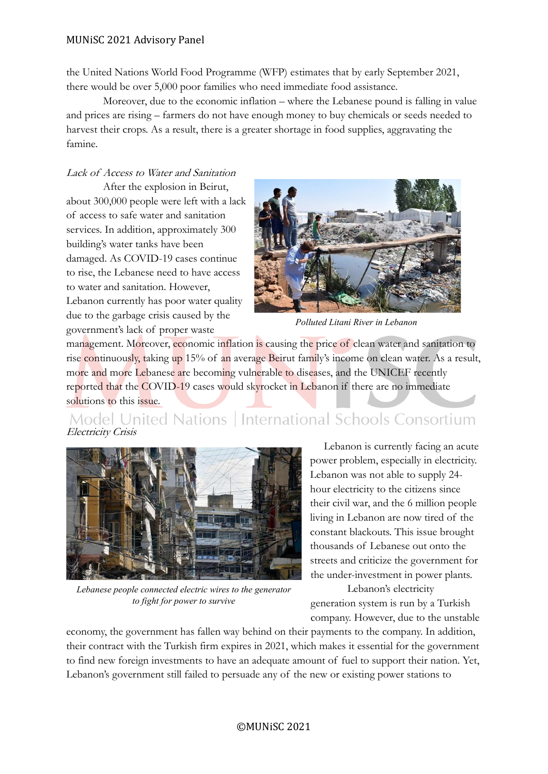the United Nations World Food Programme (WFP) estimates that by early September 2021, there would be over 5,000 poor families who need immediate food assistance.

Moreover, due to the economic inflation – where the Lebanese pound is falling in value and prices are rising – farmers do not have enough money to buy chemicals or seeds needed to harvest their crops. As a result, there is a greater shortage in food supplies, aggravating the famine.

#### Lack of Access to Water and Sanitation

After the explosion in Beirut, about 300,000 people were left with a lack of access to safe water and sanitation services. In addition, approximately 300 building's water tanks have been damaged. As COVID-19 cases continue to rise, the Lebanese need to have access to water and sanitation. However, Lebanon currently has poor water quality due to the garbage crisis caused by the government's lack of proper waste



*Polluted Litani River in Lebanon*

management. Moreover, economic inflation is causing the price of clean water and sanitation to rise continuously, taking up 15% of an average Beirut family's income on clean water. As a result, more and more Lebanese are becoming vulnerable to diseases, and the UNICEF recently reported that the COVID-19 cases would skyrocket in Lebanon if there are no immediate solutions to this issue.

## **Model United Nations | International Schools Consortium** Electricity Crisis



*Lebanese people connected electric wires to the generator to fight for power to survive*

Lebanon is currently facing an acute power problem, especially in electricity. Lebanon was not able to supply 24 hour electricity to the citizens since their civil war, and the 6 million people living in Lebanon are now tired of the constant blackouts. This issue brought thousands of Lebanese out onto the streets and criticize the government for the under-investment in power plants.

Lebanon's electricity generation system is run by a Turkish company. However, due to the unstable

economy, the government has fallen way behind on their payments to the company. In addition, their contract with the Turkish firm expires in 2021, which makes it essential for the government to find new foreign investments to have an adequate amount of fuel to support their nation. Yet, Lebanon's government still failed to persuade any of the new or existing power stations to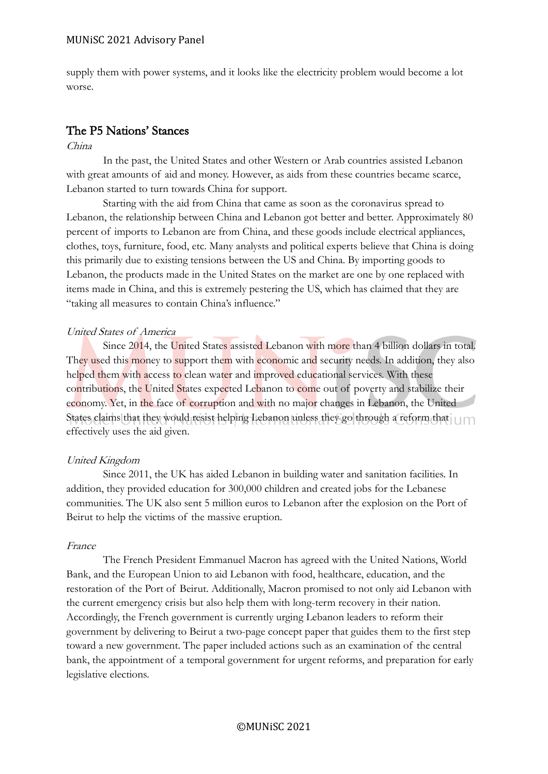supply them with power systems, and it looks like the electricity problem would become a lot worse.

#### The P5 Nations' Stances

#### China

In the past, the United States and other Western or Arab countries assisted Lebanon with great amounts of aid and money. However, as aids from these countries became scarce, Lebanon started to turn towards China for support.

Starting with the aid from China that came as soon as the coronavirus spread to Lebanon, the relationship between China and Lebanon got better and better. Approximately 80 percent of imports to Lebanon are from China, and these goods include electrical appliances, clothes, toys, furniture, food, etc. Many analysts and political experts believe that China is doing this primarily due to existing tensions between the US and China. By importing goods to Lebanon, the products made in the United States on the market are one by one replaced with items made in China, and this is extremely pestering the US, which has claimed that they are "taking all measures to contain China's influence."

#### United States of America

Since 2014, the United States assisted Lebanon with more than 4 billion dollars in total. They used this money to support them with economic and security needs. In addition, they also helped them with access to clean water and improved educational services. With these contributions, the United States expected Lebanon to come out of poverty and stabilize their economy. Yet, in the face of corruption and with no major changes in Lebanon, the United States claims that they would resist helping Lebanon unless they go through a reform that i effectively uses the aid given.

#### United Kingdom

Since 2011, the UK has aided Lebanon in building water and sanitation facilities. In addition, they provided education for 300,000 children and created jobs for the Lebanese communities. The UK also sent 5 million euros to Lebanon after the explosion on the Port of Beirut to help the victims of the massive eruption.

#### France

The French President Emmanuel Macron has agreed with the United Nations, World Bank, and the European Union to aid Lebanon with food, healthcare, education, and the restoration of the Port of Beirut. Additionally, Macron promised to not only aid Lebanon with the current emergency crisis but also help them with long-term recovery in their nation. Accordingly, the French government is currently urging Lebanon leaders to reform their government by delivering to Beirut a two-page concept paper that guides them to the first step toward a new government. The paper included actions such as an examination of the central bank, the appointment of a temporal government for urgent reforms, and preparation for early legislative elections.

#### ©MUNiSC 2021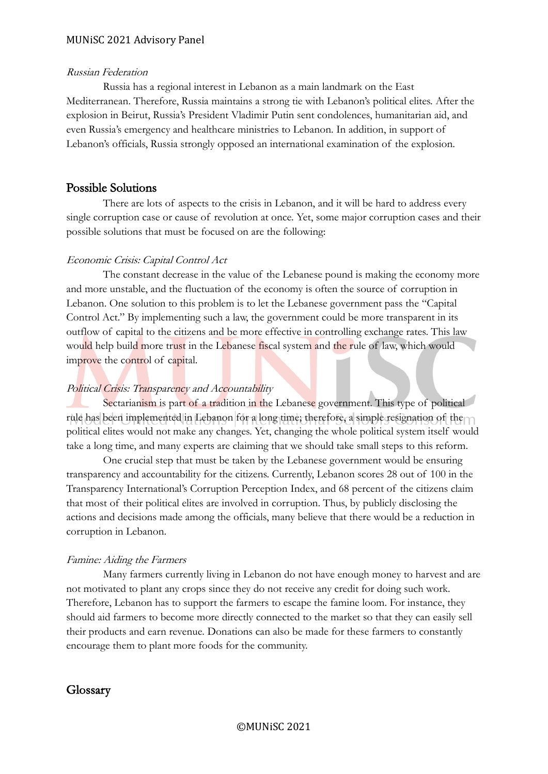#### Russian Federation

Russia has a regional interest in Lebanon as a main landmark on the East Mediterranean. Therefore, Russia maintains a strong tie with Lebanon's political elites. After the explosion in Beirut, Russia's President Vladimir Putin sent condolences, humanitarian aid, and even Russia's emergency and healthcare ministries to Lebanon. In addition, in support of Lebanon's officials, Russia strongly opposed an international examination of the explosion.

#### Possible Solutions

There are lots of aspects to the crisis in Lebanon, and it will be hard to address every single corruption case or cause of revolution at once. Yet, some major corruption cases and their possible solutions that must be focused on are the following:

#### Economic Crisis: Capital Control Act

The constant decrease in the value of the Lebanese pound is making the economy more and more unstable, and the fluctuation of the economy is often the source of corruption in Lebanon. One solution to this problem is to let the Lebanese government pass the "Capital Control Act." By implementing such a law, the government could be more transparent in its outflow of capital to the citizens and be more effective in controlling exchange rates. This law would help build more trust in the Lebanese fiscal system and the rule of law, which would improve the control of capital.

#### Political Crisis: Transparency and Accountability

Sectarianism is part of a tradition in the Lebanese government. This type of political rule has been implemented in Lebanon for a long time; therefore, a simple resignation of the political elites would not make any changes. Yet, changing the whole political system itself would take a long time, and many experts are claiming that we should take small steps to this reform.

One crucial step that must be taken by the Lebanese government would be ensuring transparency and accountability for the citizens. Currently, Lebanon scores 28 out of 100 in the Transparency International's Corruption Perception Index, and 68 percent of the citizens claim that most of their political elites are involved in corruption. Thus, by publicly disclosing the actions and decisions made among the officials, many believe that there would be a reduction in corruption in Lebanon.

#### Famine: Aiding the Farmers

Many farmers currently living in Lebanon do not have enough money to harvest and are not motivated to plant any crops since they do not receive any credit for doing such work. Therefore, Lebanon has to support the farmers to escape the famine loom. For instance, they should aid farmers to become more directly connected to the market so that they can easily sell their products and earn revenue. Donations can also be made for these farmers to constantly encourage them to plant more foods for the community.

#### Glossary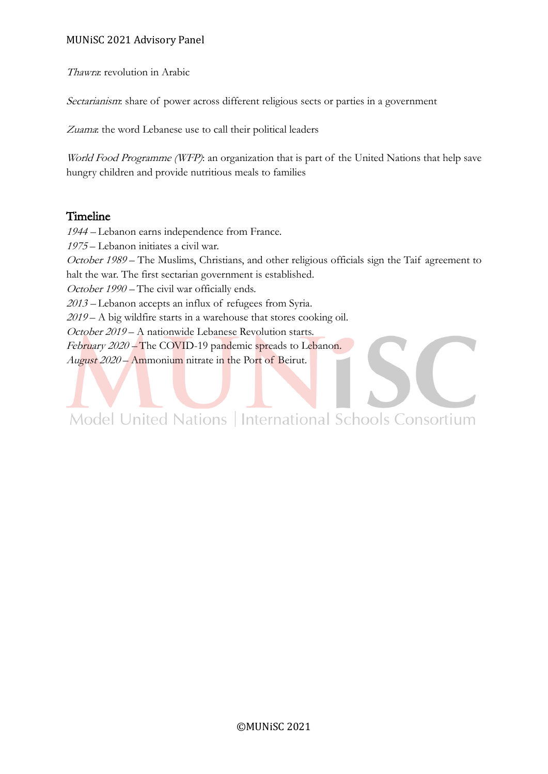Thawra: revolution in Arabic

Sectarianism: share of power across different religious sects or parties in a government

Zuama: the word Lebanese use to call their political leaders

World Food Programme (WFP): an organization that is part of the United Nations that help save hungry children and provide nutritious meals to families

#### Timeline

<sup>1944</sup>– Lebanon earns independence from France.

<sup>1975</sup>– Lebanon initiates a civil war.

October 1989 – The Muslims, Christians, and other religious officials sign the Taif agreement to halt the war. The first sectarian government is established.

October 1990 – The civil war officially ends.

<sup>2013</sup>– Lebanon accepts an influx of refugees from Syria.

<sup>2019</sup>– A big wildfire starts in a warehouse that stores cooking oil.

October 2019 – A nationwide Lebanese Revolution starts.

February 2020 – The COVID-19 pandemic spreads to Lebanon.

August 2020 – Ammonium nitrate in the Port of Beirut.

# Model United Nations | International Schools Consortium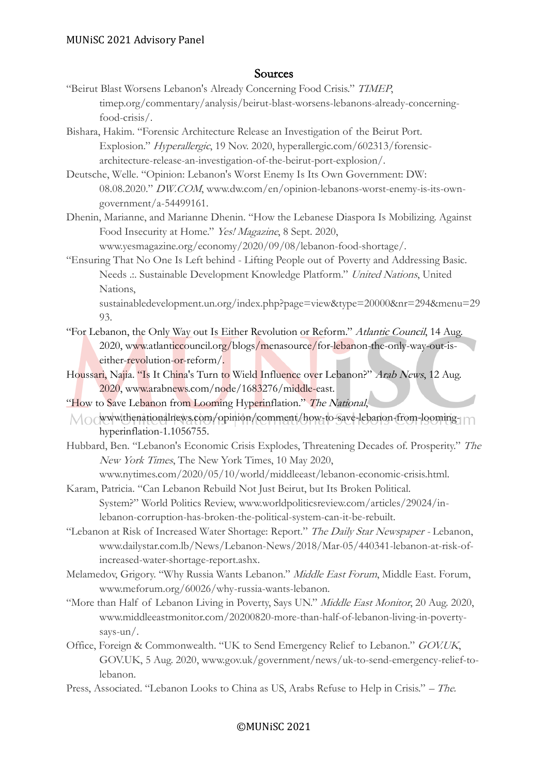#### Sources

- "Beirut Blast Worsens Lebanon's Already Concerning Food Crisis." TIMEP, timep.org/commentary/analysis/beirut-blast-worsens-lebanons-already-concerningfood-crisis/.
- Bishara, Hakim. "Forensic Architecture Release an Investigation of the Beirut Port. Explosion." Hyperallergic, 19 Nov. 2020, hyperallergic.com/602313/forensicarchitecture-release-an-investigation-of-the-beirut-port-explosion/.
- Deutsche, Welle. "Opinion: Lebanon's Worst Enemy Is Its Own Government: DW: 08.08.2020." DW.COM, www.dw.com/en/opinion-lebanons-worst-enemy-is-its-owngovernment/a-54499161.
- Dhenin, Marianne, and Marianne Dhenin. "How the Lebanese Diaspora Is Mobilizing. Against Food Insecurity at Home." Yes! Magazine, 8 Sept. 2020, www.yesmagazine.org/economy/2020/09/08/lebanon-food-shortage/.
- "Ensuring That No One Is Left behind Lifting People out of Poverty and Addressing Basic. Needs .:. Sustainable Development Knowledge Platform." United Nations, United Nations,

sustainabledevelopment.un.org/index.php?page=view&type=20000&nr=294&menu=29 93.

- "For Lebanon, the Only Way out Is Either Revolution or Reform." Atlantic Council, 14 Aug. 2020, www.atlanticcouncil.org/blogs/menasource/for-lebanon-the-only-way-out-iseither-revolution-or-reform/.
- Houssari, Najia. "Is It China's Turn to Wield Influence over Lebanon?" Arab News, 12 Aug. 2020, www.arabnews.com/node/1683276/middle-east.
- "How to Save Lebanon from Looming Hyperinflation." The National,
- Mocwww.thenationalnews.com/opinion/comment/how-to-save-lebanon-from-loominghyperinflation-1.1056755.
- Hubbard, Ben. "Lebanon's Economic Crisis Explodes, Threatening Decades of. Prosperity." The New York Times, The New York Times, 10 May 2020, www.nytimes.com/2020/05/10/world/middleeast/lebanon-economic-crisis.html.
- Karam, Patricia. "Can Lebanon Rebuild Not Just Beirut, but Its Broken Political. System?" World Politics Review, www.worldpoliticsreview.com/articles/29024/inlebanon-corruption-has-broken-the-political-system-can-it-be-rebuilt.
- "Lebanon at Risk of Increased Water Shortage: Report." The Daily Star Newspaper Lebanon, www.dailystar.com.lb/News/Lebanon-News/2018/Mar-05/440341-lebanon-at-risk-ofincreased-water-shortage-report.ashx.
- Melamedov, Grigory. "Why Russia Wants Lebanon." Middle East Forum, Middle East. Forum, www.meforum.org/60026/why-russia-wants-lebanon.
- "More than Half of Lebanon Living in Poverty, Says UN." Middle East Monitor, 20 Aug. 2020, www.middleeastmonitor.com/20200820-more-than-half-of-lebanon-living-in-povertysays-un/.
- Office, Foreign & Commonwealth. "UK to Send Emergency Relief to Lebanon." GOV.UK, GOV.UK, 5 Aug. 2020, www.gov.uk/government/news/uk-to-send-emergency-relief-tolebanon.
- Press, Associated. "Lebanon Looks to China as US, Arabs Refuse to Help in Crisis." The.

#### ©MUNiSC 2021